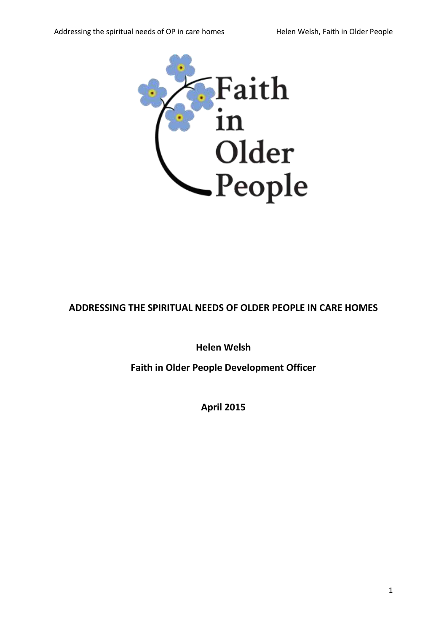Addressing the spiritual needs of OP in care homes Helen Welsh, Faith in Older People



# **ADDRESSING THE SPIRITUAL NEEDS OF OLDER PEOPLE IN CARE HOMES**

**Helen Welsh**

**Faith in Older People Development Officer**

**April 2015**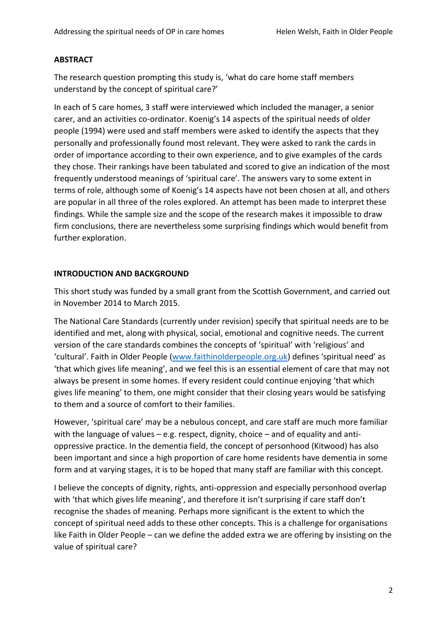#### **ABSTRACT**

The research question prompting this study is, 'what do care home staff members understand by the concept of spiritual care?'

In each of 5 care homes, 3 staff were interviewed which included the manager, a senior carer, and an activities co-ordinator. Koenig's 14 aspects of the spiritual needs of older people (1994) were used and staff members were asked to identify the aspects that they personally and professionally found most relevant. They were asked to rank the cards in order of importance according to their own experience, and to give examples of the cards they chose. Their rankings have been tabulated and scored to give an indication of the most frequently understood meanings of 'spiritual care'. The answers vary to some extent in terms of role, although some of Koenig's 14 aspects have not been chosen at all, and others are popular in all three of the roles explored. An attempt has been made to interpret these findings. While the sample size and the scope of the research makes it impossible to draw firm conclusions, there are nevertheless some surprising findings which would benefit from further exploration.

#### **INTRODUCTION AND BACKGROUND**

This short study was funded by a small grant from the Scottish Government, and carried out in November 2014 to March 2015.

The National Care Standards (currently under revision) specify that spiritual needs are to be identified and met, along with physical, social, emotional and cognitive needs. The current version of the care standards combines the concepts of 'spiritual' with 'religious' and 'cultural'. Faith in Older People [\(www.faithinolderpeople.org.uk\)](http://www.faithinolderpeople.org.uk/) defines 'spiritual need' as 'that which gives life meaning', and we feel this is an essential element of care that may not always be present in some homes. If every resident could continue enjoying 'that which gives life meaning' to them, one might consider that their closing years would be satisfying to them and a source of comfort to their families.

However, 'spiritual care' may be a nebulous concept, and care staff are much more familiar with the language of values – e.g. respect, dignity, choice – and of equality and antioppressive practice. In the dementia field, the concept of personhood (Kitwood) has also been important and since a high proportion of care home residents have dementia in some form and at varying stages, it is to be hoped that many staff are familiar with this concept.

I believe the concepts of dignity, rights, anti-oppression and especially personhood overlap with 'that which gives life meaning', and therefore it isn't surprising if care staff don't recognise the shades of meaning. Perhaps more significant is the extent to which the concept of spiritual need adds to these other concepts. This is a challenge for organisations like Faith in Older People – can we define the added extra we are offering by insisting on the value of spiritual care?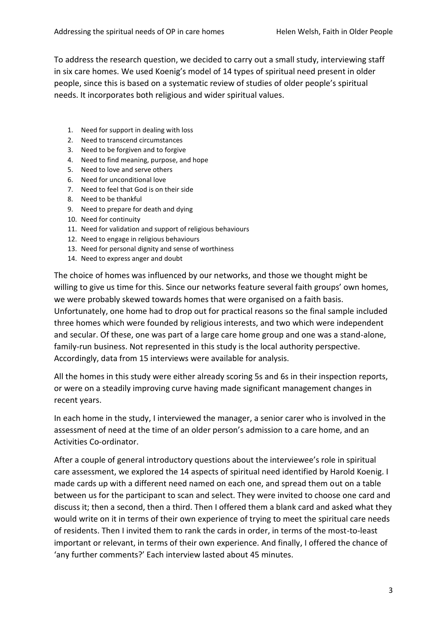To address the research question, we decided to carry out a small study, interviewing staff in six care homes. We used Koenig's model of 14 types of spiritual need present in older people, since this is based on a systematic review of studies of older people's spiritual needs. It incorporates both religious and wider spiritual values.

- 1. Need for support in dealing with loss
- 2. Need to transcend circumstances
- 3. Need to be forgiven and to forgive
- 4. Need to find meaning, purpose, and hope
- 5. Need to love and serve others
- 6. Need for unconditional love
- 7. Need to feel that God is on their side
- 8. Need to be thankful
- 9. Need to prepare for death and dying
- 10. Need for continuity
- 11. Need for validation and support of religious behaviours
- 12. Need to engage in religious behaviours
- 13. Need for personal dignity and sense of worthiness
- 14. Need to express anger and doubt

The choice of homes was influenced by our networks, and those we thought might be willing to give us time for this. Since our networks feature several faith groups' own homes, we were probably skewed towards homes that were organised on a faith basis. Unfortunately, one home had to drop out for practical reasons so the final sample included three homes which were founded by religious interests, and two which were independent

and secular. Of these, one was part of a large care home group and one was a stand-alone, family-run business. Not represented in this study is the local authority perspective. Accordingly, data from 15 interviews were available for analysis.

All the homes in this study were either already scoring 5s and 6s in their inspection reports, or were on a steadily improving curve having made significant management changes in recent years.

In each home in the study, I interviewed the manager, a senior carer who is involved in the assessment of need at the time of an older person's admission to a care home, and an Activities Co-ordinator.

After a couple of general introductory questions about the interviewee's role in spiritual care assessment, we explored the 14 aspects of spiritual need identified by Harold Koenig. I made cards up with a different need named on each one, and spread them out on a table between us for the participant to scan and select. They were invited to choose one card and discuss it; then a second, then a third. Then I offered them a blank card and asked what they would write on it in terms of their own experience of trying to meet the spiritual care needs of residents. Then I invited them to rank the cards in order, in terms of the most-to-least important or relevant, in terms of their own experience. And finally, I offered the chance of 'any further comments?' Each interview lasted about 45 minutes.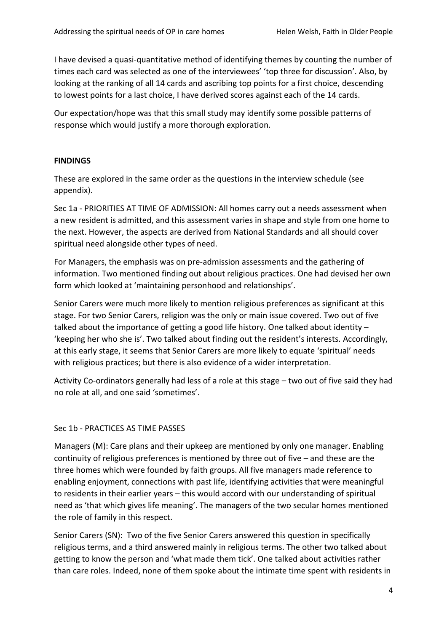I have devised a quasi-quantitative method of identifying themes by counting the number of times each card was selected as one of the interviewees' 'top three for discussion'. Also, by looking at the ranking of all 14 cards and ascribing top points for a first choice, descending to lowest points for a last choice, I have derived scores against each of the 14 cards.

Our expectation/hope was that this small study may identify some possible patterns of response which would justify a more thorough exploration.

### **FINDINGS**

These are explored in the same order as the questions in the interview schedule (see appendix).

Sec 1a - PRIORITIES AT TIME OF ADMISSION: All homes carry out a needs assessment when a new resident is admitted, and this assessment varies in shape and style from one home to the next. However, the aspects are derived from National Standards and all should cover spiritual need alongside other types of need.

For Managers, the emphasis was on pre-admission assessments and the gathering of information. Two mentioned finding out about religious practices. One had devised her own form which looked at 'maintaining personhood and relationships'.

Senior Carers were much more likely to mention religious preferences as significant at this stage. For two Senior Carers, religion was the only or main issue covered. Two out of five talked about the importance of getting a good life history. One talked about identity – 'keeping her who she is'. Two talked about finding out the resident's interests. Accordingly, at this early stage, it seems that Senior Carers are more likely to equate 'spiritual' needs with religious practices; but there is also evidence of a wider interpretation.

Activity Co-ordinators generally had less of a role at this stage – two out of five said they had no role at all, and one said 'sometimes'.

### Sec 1b - PRACTICES AS TIME PASSES

Managers (M): Care plans and their upkeep are mentioned by only one manager. Enabling continuity of religious preferences is mentioned by three out of five – and these are the three homes which were founded by faith groups. All five managers made reference to enabling enjoyment, connections with past life, identifying activities that were meaningful to residents in their earlier years – this would accord with our understanding of spiritual need as 'that which gives life meaning'. The managers of the two secular homes mentioned the role of family in this respect.

Senior Carers (SN): Two of the five Senior Carers answered this question in specifically religious terms, and a third answered mainly in religious terms. The other two talked about getting to know the person and 'what made them tick'. One talked about activities rather than care roles. Indeed, none of them spoke about the intimate time spent with residents in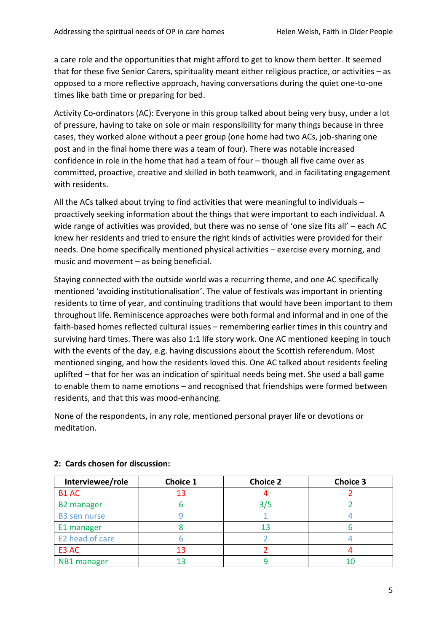a care role and the opportunities that might afford to get to know them better. It seemed that for these five Senior Carers, spirituality meant either religious practice, or activities – as opposed to a more reflective approach, having conversations during the quiet one-to-one times like bath time or preparing for bed.

Activity Co-ordinators (AC): Everyone in this group talked about being very busy, under a lot of pressure, having to take on sole or main responsibility for many things because in three cases, they worked alone without a peer group (one home had two ACs, job-sharing one post and in the final home there was a team of four). There was notable increased confidence in role in the home that had a team of four – though all five came over as committed, proactive, creative and skilled in both teamwork, and in facilitating engagement with residents.

All the ACs talked about trying to find activities that were meaningful to individuals – proactively seeking information about the things that were important to each individual. A wide range of activities was provided, but there was no sense of 'one size fits all' – each AC knew her residents and tried to ensure the right kinds of activities were provided for their needs. One home specifically mentioned physical activities – exercise every morning, and music and movement – as being beneficial.

Staying connected with the outside world was a recurring theme, and one AC specifically mentioned 'avoiding institutionalisation'. The value of festivals was important in orienting residents to time of year, and continuing traditions that would have been important to them throughout life. Reminiscence approaches were both formal and informal and in one of the faith-based homes reflected cultural issues – remembering earlier times in this country and surviving hard times. There was also 1:1 life story work. One AC mentioned keeping in touch with the events of the day, e.g. having discussions about the Scottish referendum. Most mentioned singing, and how the residents loved this. One AC talked about residents feeling uplifted – that for her was an indication of spiritual needs being met. She used a ball game to enable them to name emotions – and recognised that friendships were formed between residents, and that this was mood-enhancing.

None of the respondents, in any role, mentioned personal prayer life or devotions or meditation.

| Interviewee/role    | <b>Choice 1</b> | <b>Choice 2</b> | <b>Choice 3</b> |  |  |
|---------------------|-----------------|-----------------|-----------------|--|--|
| B1 AC               | 13              |                 |                 |  |  |
| <b>B2</b> manager   |                 | 3/5             |                 |  |  |
| <b>B3</b> sen nurse |                 |                 |                 |  |  |
| E1 manager          |                 |                 |                 |  |  |
| E2 head of care     |                 |                 |                 |  |  |
| E3 AC               | 13              |                 |                 |  |  |
| NB1 manager         |                 |                 |                 |  |  |

### **2: Cards chosen for discussion:**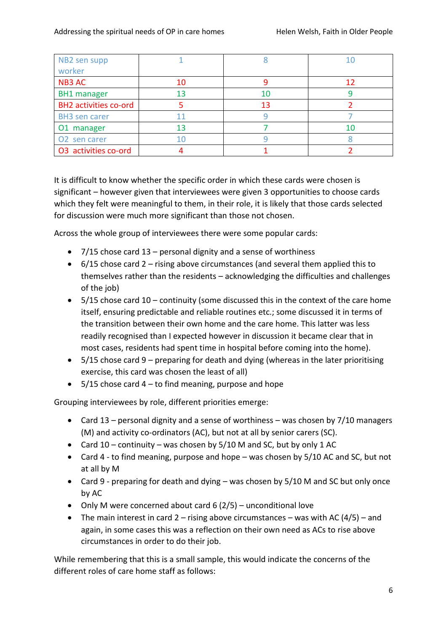| NB2 sen supp                 |    |    |  |
|------------------------------|----|----|--|
| worker                       |    |    |  |
| <b>NB3 AC</b>                | 10 | q  |  |
| <b>BH1</b> manager           | 13 | 10 |  |
| <b>BH2</b> activities co-ord |    | 13 |  |
| <b>BH3</b> sen carer         |    |    |  |
| O1 manager                   | 13 |    |  |
| O2 sen carer                 | 10 |    |  |
| O3 activities co-ord         |    |    |  |

It is difficult to know whether the specific order in which these cards were chosen is significant – however given that interviewees were given 3 opportunities to choose cards which they felt were meaningful to them, in their role, it is likely that those cards selected for discussion were much more significant than those not chosen.

Across the whole group of interviewees there were some popular cards:

- $7/15$  chose card 13 personal dignity and a sense of worthiness
- 6/15 chose card 2 rising above circumstances (and several them applied this to themselves rather than the residents – acknowledging the difficulties and challenges of the job)
- $\bullet$  5/15 chose card 10 continuity (some discussed this in the context of the care home itself, ensuring predictable and reliable routines etc.; some discussed it in terms of the transition between their own home and the care home. This latter was less readily recognised than I expected however in discussion it became clear that in most cases, residents had spent time in hospital before coming into the home).
- 5/15 chose card 9 preparing for death and dying (whereas in the later prioritising exercise, this card was chosen the least of all)
- $\bullet$  5/15 chose card 4 to find meaning, purpose and hope

Grouping interviewees by role, different priorities emerge:

- Card 13 personal dignity and a sense of worthiness was chosen by 7/10 managers (M) and activity co-ordinators (AC), but not at all by senior carers (SC).
- Card  $10$  continuity was chosen by  $5/10$  M and SC, but by only 1 AC
- Card 4 to find meaning, purpose and hope was chosen by 5/10 AC and SC, but not at all by M
- Card 9 preparing for death and dying was chosen by 5/10 M and SC but only once by AC
- Only M were concerned about card 6 (2/5) unconditional love
- The main interest in card  $2 -$  rising above circumstances was with AC (4/5) and again, in some cases this was a reflection on their own need as ACs to rise above circumstances in order to do their job.

While remembering that this is a small sample, this would indicate the concerns of the different roles of care home staff as follows: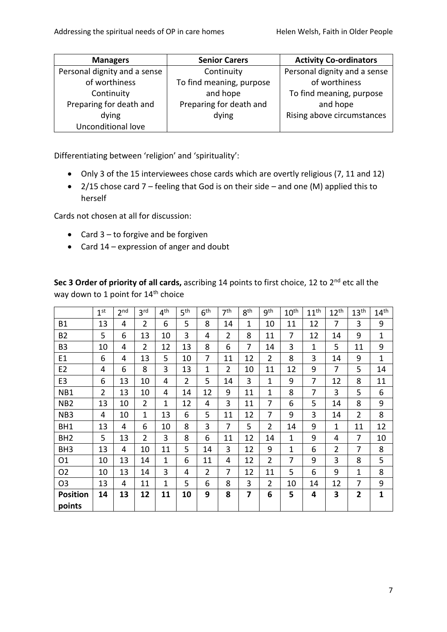| <b>Managers</b>              | <b>Senior Carers</b>     | <b>Activity Co-ordinators</b> |
|------------------------------|--------------------------|-------------------------------|
| Personal dignity and a sense | Continuity               | Personal dignity and a sense  |
| of worthiness                | To find meaning, purpose | of worthiness                 |
| Continuity                   | and hope                 | To find meaning, purpose      |
| Preparing for death and      | Preparing for death and  | and hope                      |
| dying                        | dying                    | Rising above circumstances    |
| Unconditional love           |                          |                               |

Differentiating between 'religion' and 'spirituality':

- Only 3 of the 15 interviewees chose cards which are overtly religious (7, 11 and 12)
- 2/15 chose card 7 feeling that God is on their side and one (M) applied this to herself

Cards not chosen at all for discussion:

- Card 3 to forgive and be forgiven
- Card 14 expression of anger and doubt

Sec 3 Order of priority of all cards, ascribing 14 points to first choice, 12 to 2<sup>nd</sup> etc all the way down to 1 point for 14<sup>th</sup> choice

|                 | 1 <sup>st</sup> | 2 <sub>nd</sub> | 3 <sup>rd</sup> | 4 <sup>th</sup> | 5 <sup>th</sup> | 6 <sup>th</sup> | 7 <sup>th</sup> | 8 <sup>th</sup> | gth            | 10 <sup>th</sup> | 11 <sup>th</sup> | 12 <sup>th</sup> | 13 <sup>th</sup> | 14 <sup>th</sup> |
|-----------------|-----------------|-----------------|-----------------|-----------------|-----------------|-----------------|-----------------|-----------------|----------------|------------------|------------------|------------------|------------------|------------------|
| <b>B1</b>       | 13              | 4               | $\overline{2}$  | 6               | 5               | 8               | 14              | 1               | 10             | 11               | 12               | 7                | 3                | 9                |
| <b>B2</b>       | 5               | 6               | 13              | 10              | 3               | 4               | $\overline{2}$  | 8               | 11             | 7                | 12               | 14               | 9                | 1                |
| B <sub>3</sub>  | 10              | 4               | $\overline{2}$  | 12              | 13              | 8               | 6               | $\overline{7}$  | 14             | 3                | 1                | 5                | 11               | 9                |
| E1              | 6               | 4               | 13              | 5               | 10              | 7               | 11              | 12              | $\overline{2}$ | 8                | 3                | 14               | 9                | $\mathbf{1}$     |
| E <sub>2</sub>  | 4               | 6               | 8               | 3               | 13              | 1               | $\overline{2}$  | 10              | 11             | 12               | 9                | 7                | 5                | 14               |
| E3              | 6               | 13              | 10              | 4               | $\overline{2}$  | 5               | 14              | 3               | 1              | 9                | 7                | 12               | 8                | 11               |
| NB1             | $\overline{2}$  | 13              | 10              | 4               | 14              | 12              | 9               | 11              | 1              | 8                | 7                | 3                | 5                | 6                |
| NB <sub>2</sub> | 13              | 10              | $\overline{2}$  | 1               | 12              | 4               | 3               | 11              | 7              | 6                | 5                | 14               | 8                | 9                |
| NB <sub>3</sub> | 4               | 10              | 1               | 13              | 6               | 5               | 11              | 12              | 7              | 9                | 3                | 14               | $\overline{2}$   | 8                |
| BH1             | 13              | 4               | 6               | 10              | 8               | 3               | 7               | 5               | $\overline{2}$ | 14               | 9                | $\mathbf{1}$     | 11               | 12               |
| BH <sub>2</sub> | 5               | 13              | $\overline{2}$  | 3               | 8               | 6               | 11              | 12              | 14             | 1                | 9                | 4                | 7                | 10               |
| BH <sub>3</sub> | 13              | 4               | 10              | 11              | 5               | 14              | 3               | 12              | 9              | 1                | $6\,$            | $\overline{2}$   | 7                | 8                |
| 01              | 10              | 13              | 14              | $\mathbf{1}$    | 6               | 11              | 4               | 12              | $\overline{2}$ | 7                | 9                | 3                | 8                | 5                |
| O <sub>2</sub>  | 10              | 13              | 14              | 3               | 4               | $\overline{2}$  | 7               | 12              | 11             | 5                | 6                | 9                | $\mathbf 1$      | 8                |
| O <sub>3</sub>  | 13              | 4               | 11              | 1               | 5               | 6               | 8               | 3               | $\overline{2}$ | 10               | 14               | 12               | 7                | 9                |
| <b>Position</b> | 14              | 13              | 12              | 11              | 10              | 9               | 8               | 7               | 6              | 5                | 4                | 3                | $\overline{2}$   | $\mathbf{1}$     |
| points          |                 |                 |                 |                 |                 |                 |                 |                 |                |                  |                  |                  |                  |                  |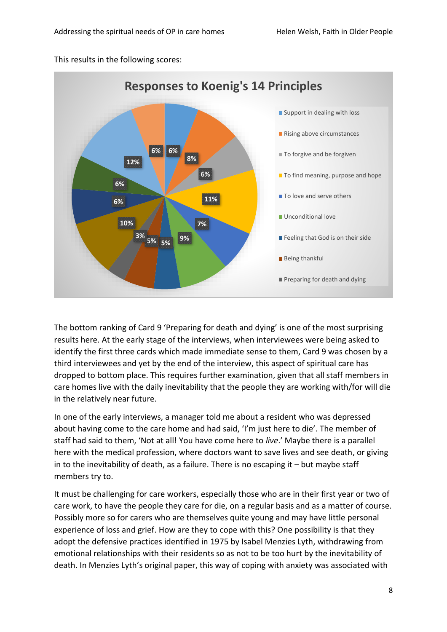This results in the following scores:



The bottom ranking of Card 9 'Preparing for death and dying' is one of the most surprising results here. At the early stage of the interviews, when interviewees were being asked to identify the first three cards which made immediate sense to them, Card 9 was chosen by a third interviewees and yet by the end of the interview, this aspect of spiritual care has dropped to bottom place. This requires further examination, given that all staff members in care homes live with the daily inevitability that the people they are working with/for will die in the relatively near future.

In one of the early interviews, a manager told me about a resident who was depressed about having come to the care home and had said, 'I'm just here to die'. The member of staff had said to them, 'Not at all! You have come here to *live*.' Maybe there is a parallel here with the medical profession, where doctors want to save lives and see death, or giving in to the inevitability of death, as a failure. There is no escaping it – but maybe staff members try to.

It must be challenging for care workers, especially those who are in their first year or two of care work, to have the people they care for die, on a regular basis and as a matter of course. Possibly more so for carers who are themselves quite young and may have little personal experience of loss and grief. How are they to cope with this? One possibility is that they adopt the defensive practices identified in 1975 by Isabel Menzies Lyth, withdrawing from emotional relationships with their residents so as not to be too hurt by the inevitability of death. In Menzies Lyth's original paper, this way of coping with anxiety was associated with

8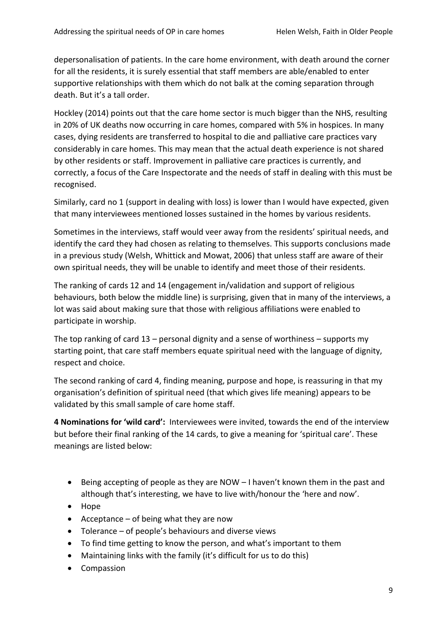depersonalisation of patients. In the care home environment, with death around the corner for all the residents, it is surely essential that staff members are able/enabled to enter supportive relationships with them which do not balk at the coming separation through death. But it's a tall order.

Hockley (2014) points out that the care home sector is much bigger than the NHS, resulting in 20% of UK deaths now occurring in care homes, compared with 5% in hospices. In many cases, dying residents are transferred to hospital to die and palliative care practices vary considerably in care homes. This may mean that the actual death experience is not shared by other residents or staff. Improvement in palliative care practices is currently, and correctly, a focus of the Care Inspectorate and the needs of staff in dealing with this must be recognised.

Similarly, card no 1 (support in dealing with loss) is lower than I would have expected, given that many interviewees mentioned losses sustained in the homes by various residents.

Sometimes in the interviews, staff would veer away from the residents' spiritual needs, and identify the card they had chosen as relating to themselves. This supports conclusions made in a previous study (Welsh, Whittick and Mowat, 2006) that unless staff are aware of their own spiritual needs, they will be unable to identify and meet those of their residents.

The ranking of cards 12 and 14 (engagement in/validation and support of religious behaviours, both below the middle line) is surprising, given that in many of the interviews, a lot was said about making sure that those with religious affiliations were enabled to participate in worship.

The top ranking of card 13 – personal dignity and a sense of worthiness – supports my starting point, that care staff members equate spiritual need with the language of dignity, respect and choice.

The second ranking of card 4, finding meaning, purpose and hope, is reassuring in that my organisation's definition of spiritual need (that which gives life meaning) appears to be validated by this small sample of care home staff.

**4 Nominations for 'wild card':** Interviewees were invited, towards the end of the interview but before their final ranking of the 14 cards, to give a meaning for 'spiritual care'. These meanings are listed below:

- Being accepting of people as they are NOW I haven't known them in the past and although that's interesting, we have to live with/honour the 'here and now'*.*
- Hope
- Acceptance of being what they are now
- Tolerance of people's behaviours and diverse views
- To find time getting to know the person, and what's important to them
- Maintaining links with the family (it's difficult for us to do this)
- Compassion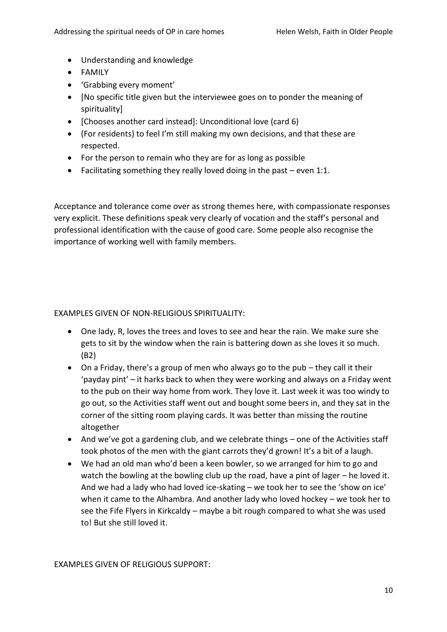- Understanding and knowledge
- FAMILY
- 'Grabbing every moment'
- [No specific title given but the interviewee goes on to ponder the meaning of spirituality]
- [Chooses another card instead]: Unconditional love (card 6)
- (For residents) to feel I'm still making my own decisions, and that these are respected.
- For the person to remain who they are for as long as possible
- Facilitating something they really loved doing in the past  $-$  even 1:1.

Acceptance and tolerance come over as strong themes here, with compassionate responses very explicit. These definitions speak very clearly of vocation and the staff's personal and professional identification with the cause of good care. Some people also recognise the importance of working well with family members.

EXAMPLES GIVEN OF NON-RELIGIOUS SPIRITUALITY:

- One lady, R, loves the trees and loves to see and hear the rain. We make sure she gets to sit by the window when the rain is battering down as she loves it so much. (B2)
- On a Friday, there's a group of men who always go to the pub they call it their 'payday pint' – it harks back to when they were working and always on a Friday went to the pub on their way home from work. They love it. Last week it was too windy to go out, so the Activities staff went out and bought some beers in, and they sat in the corner of the sitting room playing cards. It was better than missing the routine altogether
- And we've got a gardening club, and we celebrate things one of the Activities staff took photos of the men with the giant carrots they'd grown! It's a bit of a laugh.
- We had an old man who'd been a keen bowler, so we arranged for him to go and watch the bowling at the bowling club up the road, have a pint of lager – he loved it. And we had a lady who had loved ice-skating – we took her to see the 'show on ice' when it came to the Alhambra. And another lady who loved hockey – we took her to see the Fife Flyers in Kirkcaldy – maybe a bit rough compared to what she was used to! But she still loved it.

EXAMPLES GIVEN OF RELIGIOUS SUPPORT: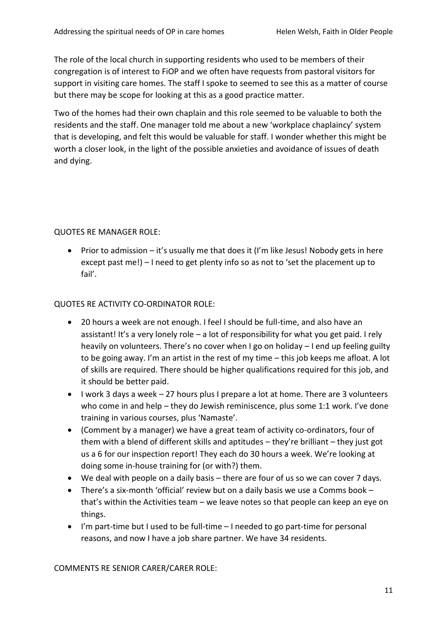The role of the local church in supporting residents who used to be members of their congregation is of interest to FiOP and we often have requests from pastoral visitors for support in visiting care homes. The staff I spoke to seemed to see this as a matter of course but there may be scope for looking at this as a good practice matter.

Two of the homes had their own chaplain and this role seemed to be valuable to both the residents and the staff. One manager told me about a new 'workplace chaplaincy' system that is developing, and felt this would be valuable for staff. I wonder whether this might be worth a closer look, in the light of the possible anxieties and avoidance of issues of death and dying.

## QUOTES RE MANAGER ROLE:

• Prior to admission – it's usually me that does it (I'm like Jesus! Nobody gets in here except past me!) – I need to get plenty info so as not to 'set the placement up to fail'.

### QUOTES RE ACTIVITY CO-ORDINATOR ROLE:

- 20 hours a week are not enough. I feel I should be full-time, and also have an assistant! It's a very lonely role – a lot of responsibility for what you get paid. I rely heavily on volunteers. There's no cover when I go on holiday – I end up feeling guilty to be going away. I'm an artist in the rest of my time – this job keeps me afloat. A lot of skills are required. There should be higher qualifications required for this job, and it should be better paid.
- I work 3 days a week 27 hours plus I prepare a lot at home. There are 3 volunteers who come in and help – they do Jewish reminiscence, plus some 1:1 work. I've done training in various courses, plus 'Namaste'.
- (Comment by a manager) we have a great team of activity co-ordinators, four of them with a blend of different skills and aptitudes – they're brilliant – they just got us a 6 for our inspection report! They each do 30 hours a week. We're looking at doing some in-house training for (or with?) them.
- We deal with people on a daily basis there are four of us so we can cover 7 days.
- There's a six-month 'official' review but on a daily basis we use a Comms book that's within the Activities team – we leave notes so that people can keep an eye on things.
- I'm part-time but I used to be full-time I needed to go part-time for personal reasons, and now I have a job share partner. We have 34 residents.

COMMENTS RE SENIOR CARER/CARER ROLE: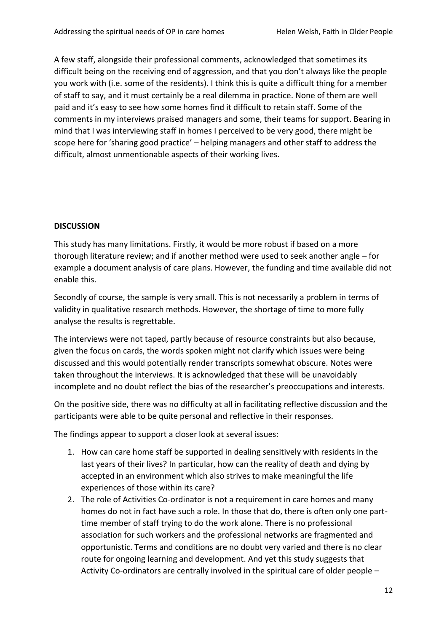A few staff, alongside their professional comments, acknowledged that sometimes its difficult being on the receiving end of aggression, and that you don't always like the people you work with (i.e. some of the residents). I think this is quite a difficult thing for a member of staff to say, and it must certainly be a real dilemma in practice. None of them are well paid and it's easy to see how some homes find it difficult to retain staff. Some of the comments in my interviews praised managers and some, their teams for support. Bearing in mind that I was interviewing staff in homes I perceived to be very good, there might be scope here for 'sharing good practice' – helping managers and other staff to address the difficult, almost unmentionable aspects of their working lives.

### **DISCUSSION**

This study has many limitations. Firstly, it would be more robust if based on a more thorough literature review; and if another method were used to seek another angle – for example a document analysis of care plans. However, the funding and time available did not enable this.

Secondly of course, the sample is very small. This is not necessarily a problem in terms of validity in qualitative research methods. However, the shortage of time to more fully analyse the results is regrettable.

The interviews were not taped, partly because of resource constraints but also because, given the focus on cards, the words spoken might not clarify which issues were being discussed and this would potentially render transcripts somewhat obscure. Notes were taken throughout the interviews. It is acknowledged that these will be unavoidably incomplete and no doubt reflect the bias of the researcher's preoccupations and interests.

On the positive side, there was no difficulty at all in facilitating reflective discussion and the participants were able to be quite personal and reflective in their responses.

The findings appear to support a closer look at several issues:

- 1. How can care home staff be supported in dealing sensitively with residents in the last years of their lives? In particular, how can the reality of death and dying by accepted in an environment which also strives to make meaningful the life experiences of those within its care?
- 2. The role of Activities Co-ordinator is not a requirement in care homes and many homes do not in fact have such a role. In those that do, there is often only one parttime member of staff trying to do the work alone. There is no professional association for such workers and the professional networks are fragmented and opportunistic. Terms and conditions are no doubt very varied and there is no clear route for ongoing learning and development. And yet this study suggests that Activity Co-ordinators are centrally involved in the spiritual care of older people –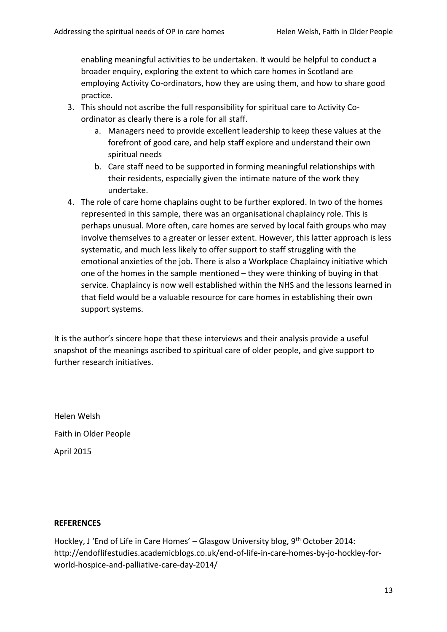enabling meaningful activities to be undertaken. It would be helpful to conduct a broader enquiry, exploring the extent to which care homes in Scotland are employing Activity Co-ordinators, how they are using them, and how to share good practice.

- 3. This should not ascribe the full responsibility for spiritual care to Activity Coordinator as clearly there is a role for all staff.
	- a. Managers need to provide excellent leadership to keep these values at the forefront of good care, and help staff explore and understand their own spiritual needs
	- b. Care staff need to be supported in forming meaningful relationships with their residents, especially given the intimate nature of the work they undertake.
- 4. The role of care home chaplains ought to be further explored. In two of the homes represented in this sample, there was an organisational chaplaincy role. This is perhaps unusual. More often, care homes are served by local faith groups who may involve themselves to a greater or lesser extent. However, this latter approach is less systematic, and much less likely to offer support to staff struggling with the emotional anxieties of the job. There is also a Workplace Chaplaincy initiative which one of the homes in the sample mentioned – they were thinking of buying in that service. Chaplaincy is now well established within the NHS and the lessons learned in that field would be a valuable resource for care homes in establishing their own support systems.

It is the author's sincere hope that these interviews and their analysis provide a useful snapshot of the meanings ascribed to spiritual care of older people, and give support to further research initiatives.

Helen Welsh Faith in Older People April 2015

### **REFERENCES**

Hockley, J 'End of Life in Care Homes' - Glasgow University blog, 9<sup>th</sup> October 2014: http://endoflifestudies.academicblogs.co.uk/end-of-life-in-care-homes-by-jo-hockley-forworld-hospice-and-palliative-care-day-2014/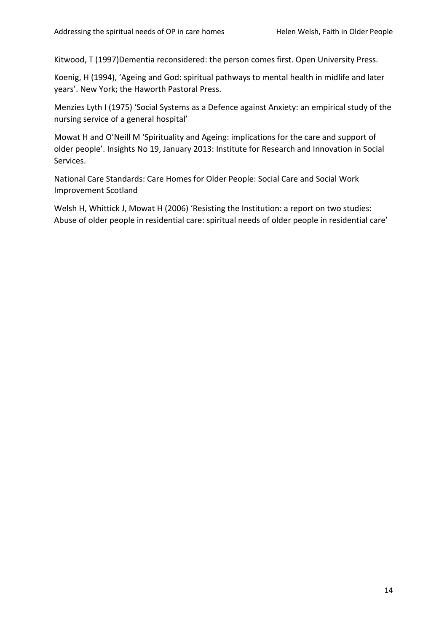Kitwood, T (1997)Dementia reconsidered: the person comes first. Open University Press.

Koenig, H (1994), 'Ageing and God: spiritual pathways to mental health in midlife and later years'. New York; the Haworth Pastoral Press.

Menzies Lyth I (1975) 'Social Systems as a Defence against Anxiety: an empirical study of the nursing service of a general hospital'

Mowat H and O'Neill M 'Spirituality and Ageing: implications for the care and support of older people'. Insights No 19, January 2013: Institute for Research and Innovation in Social Services.

National Care Standards: Care Homes for Older People: Social Care and Social Work Improvement Scotland

Welsh H, Whittick J, Mowat H (2006) 'Resisting the Institution: a report on two studies: Abuse of older people in residential care: spiritual needs of older people in residential care'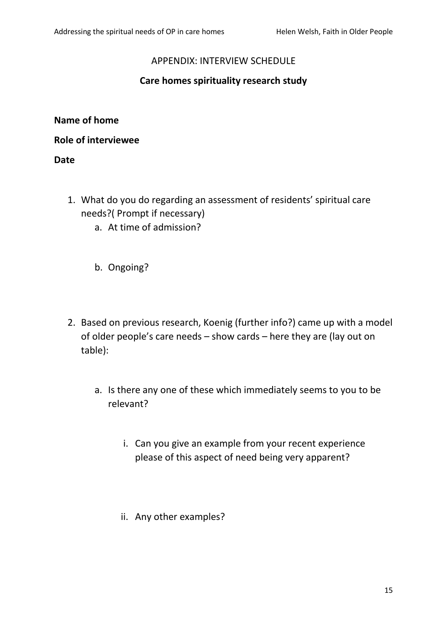# APPENDIX: INTERVIEW SCHEDULE

## **Care homes spirituality research study**

## **Name of home**

## **Role of interviewee**

**Date** 

- 1. What do you do regarding an assessment of residents' spiritual care needs?( Prompt if necessary)
	- a. At time of admission?
	- b. Ongoing?
- 2. Based on previous research, Koenig (further info?) came up with a model of older people's care needs – show cards – here they are (lay out on table):
	- a. Is there any one of these which immediately seems to you to be relevant?
		- i. Can you give an example from your recent experience please of this aspect of need being very apparent?
		- ii. Any other examples?